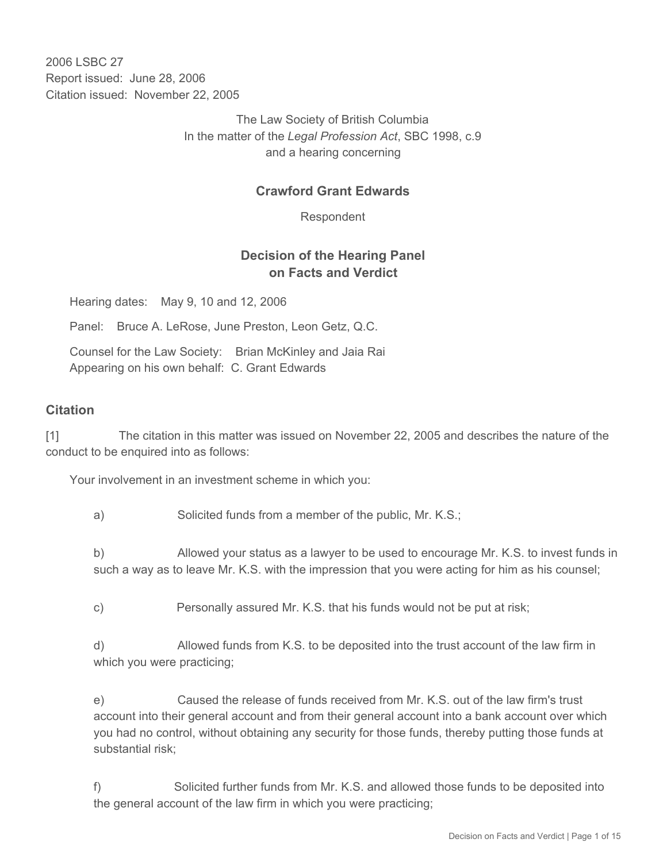2006 LSBC 27 Report issued: June 28, 2006 Citation issued: November 22, 2005

> The Law Society of British Columbia In the matter of the *Legal Profession Act*, SBC 1998, c.9 and a hearing concerning

### **Crawford Grant Edwards**

Respondent

### **Decision of the Hearing Panel on Facts and Verdict**

Hearing dates: May 9, 10 and 12, 2006

Panel: Bruce A. LeRose, June Preston, Leon Getz, Q.C.

Counsel for the Law Society: Brian McKinley and Jaia Rai Appearing on his own behalf: C. Grant Edwards

#### **Citation**

[1] The citation in this matter was issued on November 22, 2005 and describes the nature of the conduct to be enquired into as follows:

Your involvement in an investment scheme in which you:

a) Solicited funds from a member of the public, Mr. K.S.;

b) Allowed your status as a lawyer to be used to encourage Mr. K.S. to invest funds in such a way as to leave Mr. K.S. with the impression that you were acting for him as his counsel;

c) Personally assured Mr. K.S. that his funds would not be put at risk;

d) Allowed funds from K.S. to be deposited into the trust account of the law firm in which you were practicing;

e) Caused the release of funds received from Mr. K.S. out of the law firm's trust account into their general account and from their general account into a bank account over which you had no control, without obtaining any security for those funds, thereby putting those funds at substantial risk;

f) Solicited further funds from Mr. K.S. and allowed those funds to be deposited into the general account of the law firm in which you were practicing;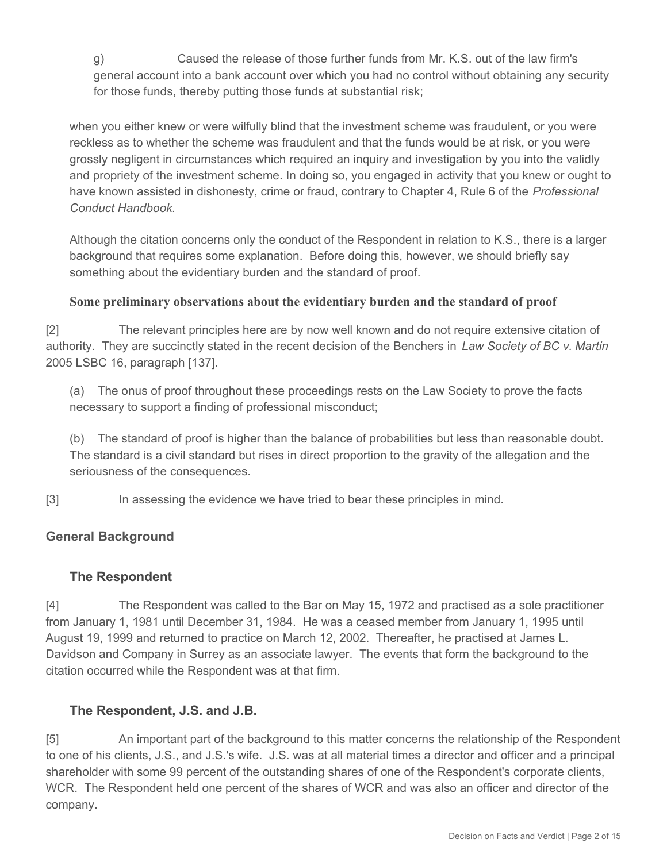g) Caused the release of those further funds from Mr. K.S. out of the law firm's general account into a bank account over which you had no control without obtaining any security for those funds, thereby putting those funds at substantial risk;

when you either knew or were wilfully blind that the investment scheme was fraudulent, or you were reckless as to whether the scheme was fraudulent and that the funds would be at risk, or you were grossly negligent in circumstances which required an inquiry and investigation by you into the validly and propriety of the investment scheme. In doing so, you engaged in activity that you knew or ought to have known assisted in dishonesty, crime or fraud, contrary to Chapter 4, Rule 6 of the *Professional Conduct Handbook*.

Although the citation concerns only the conduct of the Respondent in relation to K.S., there is a larger background that requires some explanation. Before doing this, however, we should briefly say something about the evidentiary burden and the standard of proof.

### **Some preliminary observations about the evidentiary burden and the standard of proof**

[2] The relevant principles here are by now well known and do not require extensive citation of authority. They are succinctly stated in the recent decision of the Benchers in *Law Society of BC v. Martin* 2005 LSBC 16, paragraph [137].

(a) The onus of proof throughout these proceedings rests on the Law Society to prove the facts necessary to support a finding of professional misconduct;

(b) The standard of proof is higher than the balance of probabilities but less than reasonable doubt. The standard is a civil standard but rises in direct proportion to the gravity of the allegation and the seriousness of the consequences.

[3] In assessing the evidence we have tried to bear these principles in mind.

### **General Background**

### **The Respondent**

[4] The Respondent was called to the Bar on May 15, 1972 and practised as a sole practitioner from January 1, 1981 until December 31, 1984. He was a ceased member from January 1, 1995 until August 19, 1999 and returned to practice on March 12, 2002. Thereafter, he practised at James L. Davidson and Company in Surrey as an associate lawyer. The events that form the background to the citation occurred while the Respondent was at that firm.

### **The Respondent, J.S. and J.B.**

[5] An important part of the background to this matter concerns the relationship of the Respondent to one of his clients, J.S., and J.S.'s wife. J.S. was at all material times a director and officer and a principal shareholder with some 99 percent of the outstanding shares of one of the Respondent's corporate clients, WCR. The Respondent held one percent of the shares of WCR and was also an officer and director of the company.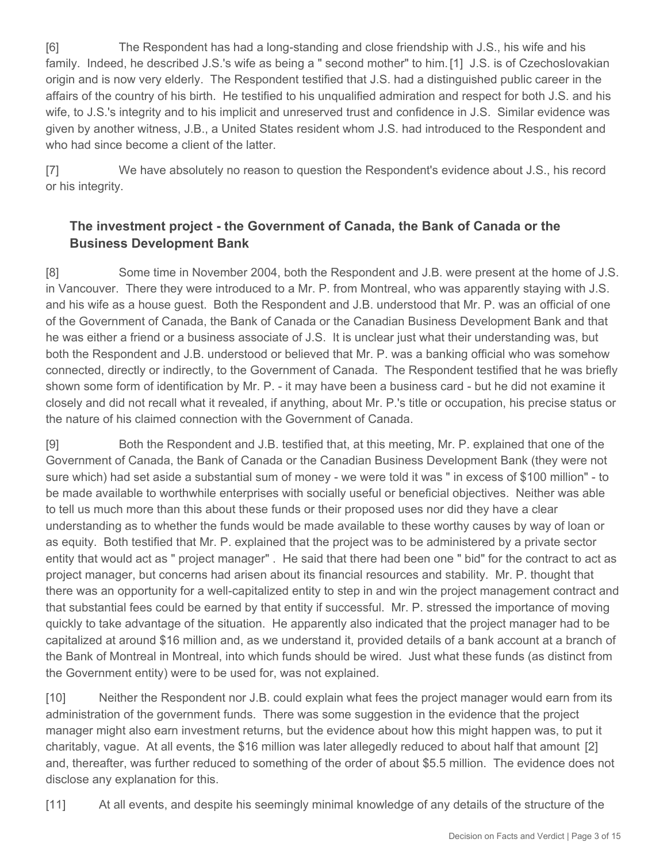[6] The Respondent has had a long-standing and close friendship with J.S., his wife and his family. Indeed, he described J.S.'s wife as being a " second mother" to him. [1] J.S. is of Czechoslovakian origin and is now very elderly. The Respondent testified that J.S. had a distinguished public career in the affairs of the country of his birth. He testified to his unqualified admiration and respect for both J.S. and his wife, to J.S.'s integrity and to his implicit and unreserved trust and confidence in J.S. Similar evidence was given by another witness, J.B., a United States resident whom J.S. had introduced to the Respondent and who had since become a client of the latter.

[7] We have absolutely no reason to question the Respondent's evidence about J.S., his record or his integrity.

## **The investment project - the Government of Canada, the Bank of Canada or the Business Development Bank**

[8] Some time in November 2004, both the Respondent and J.B. were present at the home of J.S. in Vancouver. There they were introduced to a Mr. P. from Montreal, who was apparently staying with J.S. and his wife as a house guest. Both the Respondent and J.B. understood that Mr. P. was an official of one of the Government of Canada, the Bank of Canada or the Canadian Business Development Bank and that he was either a friend or a business associate of J.S. It is unclear just what their understanding was, but both the Respondent and J.B. understood or believed that Mr. P. was a banking official who was somehow connected, directly or indirectly, to the Government of Canada. The Respondent testified that he was briefly shown some form of identification by Mr. P. - it may have been a business card - but he did not examine it closely and did not recall what it revealed, if anything, about Mr. P.'s title or occupation, his precise status or the nature of his claimed connection with the Government of Canada.

[9] Both the Respondent and J.B. testified that, at this meeting, Mr. P. explained that one of the Government of Canada, the Bank of Canada or the Canadian Business Development Bank (they were not sure which) had set aside a substantial sum of money - we were told it was " in excess of \$100 million" - to be made available to worthwhile enterprises with socially useful or beneficial objectives. Neither was able to tell us much more than this about these funds or their proposed uses nor did they have a clear understanding as to whether the funds would be made available to these worthy causes by way of loan or as equity. Both testified that Mr. P. explained that the project was to be administered by a private sector entity that would act as " project manager" . He said that there had been one " bid" for the contract to act as project manager, but concerns had arisen about its financial resources and stability. Mr. P. thought that there was an opportunity for a well-capitalized entity to step in and win the project management contract and that substantial fees could be earned by that entity if successful. Mr. P. stressed the importance of moving quickly to take advantage of the situation. He apparently also indicated that the project manager had to be capitalized at around \$16 million and, as we understand it, provided details of a bank account at a branch of the Bank of Montreal in Montreal, into which funds should be wired. Just what these funds (as distinct from the Government entity) were to be used for, was not explained.

[10] Neither the Respondent nor J.B. could explain what fees the project manager would earn from its administration of the government funds. There was some suggestion in the evidence that the project manager might also earn investment returns, but the evidence about how this might happen was, to put it charitably, vague. At all events, the \$16 million was later allegedly reduced to about half that amount [2] and, thereafter, was further reduced to something of the order of about \$5.5 million. The evidence does not disclose any explanation for this.

[11] At all events, and despite his seemingly minimal knowledge of any details of the structure of the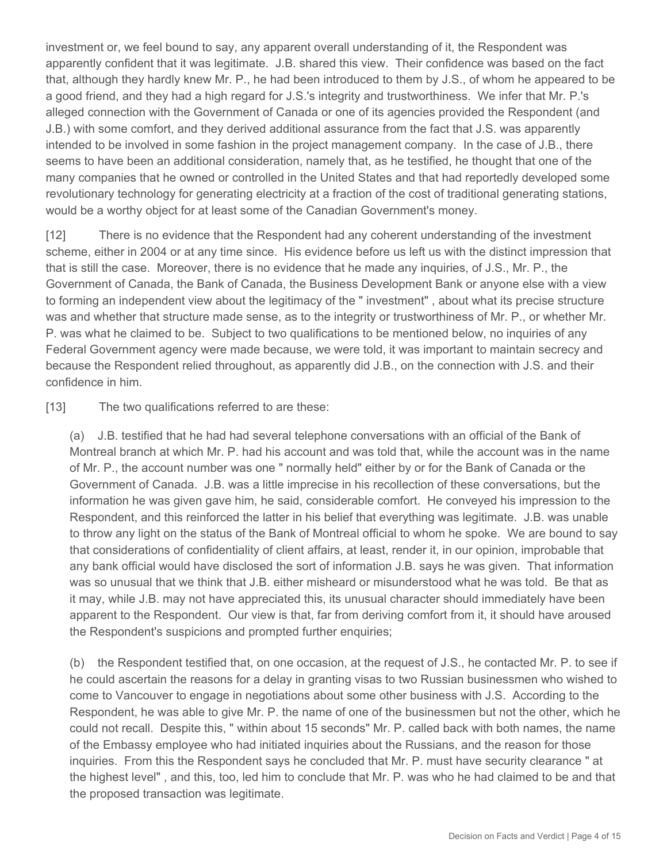investment or, we feel bound to say, any apparent overall understanding of it, the Respondent was apparently confident that it was legitimate. J.B. shared this view. Their confidence was based on the fact that, although they hardly knew Mr. P., he had been introduced to them by J.S., of whom he appeared to be a good friend, and they had a high regard for J.S.'s integrity and trustworthiness. We infer that Mr. P.'s alleged connection with the Government of Canada or one of its agencies provided the Respondent (and J.B.) with some comfort, and they derived additional assurance from the fact that J.S. was apparently intended to be involved in some fashion in the project management company. In the case of J.B., there seems to have been an additional consideration, namely that, as he testified, he thought that one of the many companies that he owned or controlled in the United States and that had reportedly developed some revolutionary technology for generating electricity at a fraction of the cost of traditional generating stations, would be a worthy object for at least some of the Canadian Government's money.

[12] There is no evidence that the Respondent had any coherent understanding of the investment scheme, either in 2004 or at any time since. His evidence before us left us with the distinct impression that that is still the case. Moreover, there is no evidence that he made any inquiries, of J.S., Mr. P., the Government of Canada, the Bank of Canada, the Business Development Bank or anyone else with a view to forming an independent view about the legitimacy of the " investment" , about what its precise structure was and whether that structure made sense, as to the integrity or trustworthiness of Mr. P., or whether Mr. P. was what he claimed to be. Subject to two qualifications to be mentioned below, no inquiries of any Federal Government agency were made because, we were told, it was important to maintain secrecy and because the Respondent relied throughout, as apparently did J.B., on the connection with J.S. and their confidence in him.

[13] The two qualifications referred to are these:

(a) J.B. testified that he had had several telephone conversations with an official of the Bank of Montreal branch at which Mr. P. had his account and was told that, while the account was in the name of Mr. P., the account number was one " normally held" either by or for the Bank of Canada or the Government of Canada. J.B. was a little imprecise in his recollection of these conversations, but the information he was given gave him, he said, considerable comfort. He conveyed his impression to the Respondent, and this reinforced the latter in his belief that everything was legitimate. J.B. was unable to throw any light on the status of the Bank of Montreal official to whom he spoke. We are bound to say that considerations of confidentiality of client affairs, at least, render it, in our opinion, improbable that any bank official would have disclosed the sort of information J.B. says he was given. That information was so unusual that we think that J.B. either misheard or misunderstood what he was told. Be that as it may, while J.B. may not have appreciated this, its unusual character should immediately have been apparent to the Respondent. Our view is that, far from deriving comfort from it, it should have aroused the Respondent's suspicions and prompted further enquiries;

(b) the Respondent testified that, on one occasion, at the request of J.S., he contacted Mr. P. to see if he could ascertain the reasons for a delay in granting visas to two Russian businessmen who wished to come to Vancouver to engage in negotiations about some other business with J.S. According to the Respondent, he was able to give Mr. P. the name of one of the businessmen but not the other, which he could not recall. Despite this, " within about 15 seconds" Mr. P. called back with both names, the name of the Embassy employee who had initiated inquiries about the Russians, and the reason for those inquiries. From this the Respondent says he concluded that Mr. P. must have security clearance " at the highest level" , and this, too, led him to conclude that Mr. P. was who he had claimed to be and that the proposed transaction was legitimate.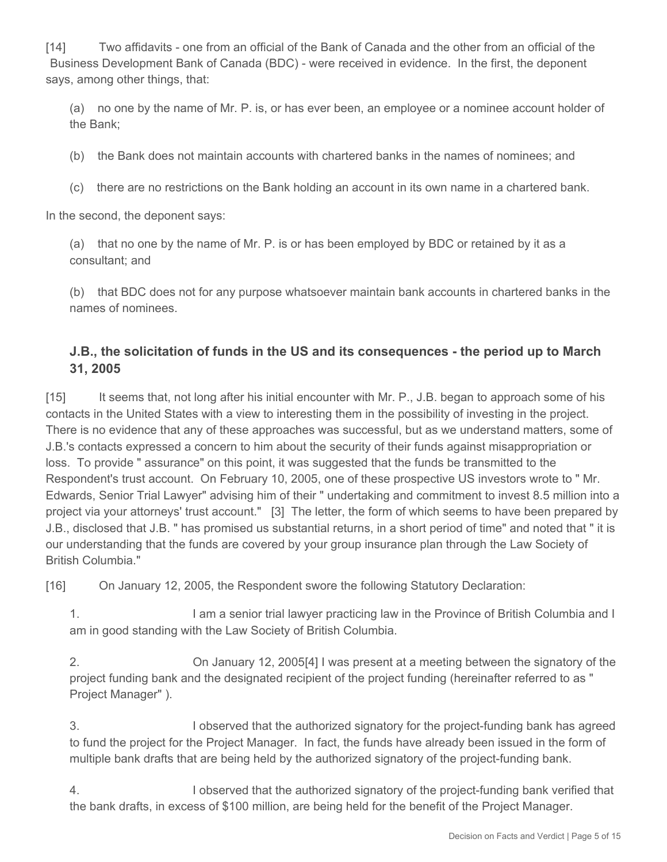[14] Two affidavits - one from an official of the Bank of Canada and the other from an official of the Business Development Bank of Canada (BDC) - were received in evidence. In the first, the deponent says, among other things, that:

(a) no one by the name of Mr. P. is, or has ever been, an employee or a nominee account holder of the Bank;

(b) the Bank does not maintain accounts with chartered banks in the names of nominees; and

(c) there are no restrictions on the Bank holding an account in its own name in a chartered bank.

In the second, the deponent says:

(a) that no one by the name of Mr. P. is or has been employed by BDC or retained by it as a consultant; and

(b) that BDC does not for any purpose whatsoever maintain bank accounts in chartered banks in the names of nominees.

## **J.B., the solicitation of funds in the US and its consequences - the period up to March 31, 2005**

[15] It seems that, not long after his initial encounter with Mr. P., J.B. began to approach some of his contacts in the United States with a view to interesting them in the possibility of investing in the project. There is no evidence that any of these approaches was successful, but as we understand matters, some of J.B.'s contacts expressed a concern to him about the security of their funds against misappropriation or loss. To provide " assurance" on this point, it was suggested that the funds be transmitted to the Respondent's trust account. On February 10, 2005, one of these prospective US investors wrote to " Mr. Edwards, Senior Trial Lawyer" advising him of their " undertaking and commitment to invest 8.5 million into a project via your attorneys' trust account." [3] The letter, the form of which seems to have been prepared by J.B., disclosed that J.B. " has promised us substantial returns, in a short period of time" and noted that " it is our understanding that the funds are covered by your group insurance plan through the Law Society of British Columbia."

[16] On January 12, 2005, the Respondent swore the following Statutory Declaration:

1. I am a senior trial lawyer practicing law in the Province of British Columbia and I am in good standing with the Law Society of British Columbia.

2. On January 12, 2005[4] I was present at a meeting between the signatory of the project funding bank and the designated recipient of the project funding (hereinafter referred to as " Project Manager" ).

3. I observed that the authorized signatory for the project-funding bank has agreed to fund the project for the Project Manager. In fact, the funds have already been issued in the form of multiple bank drafts that are being held by the authorized signatory of the project-funding bank.

4. I observed that the authorized signatory of the project-funding bank verified that the bank drafts, in excess of \$100 million, are being held for the benefit of the Project Manager.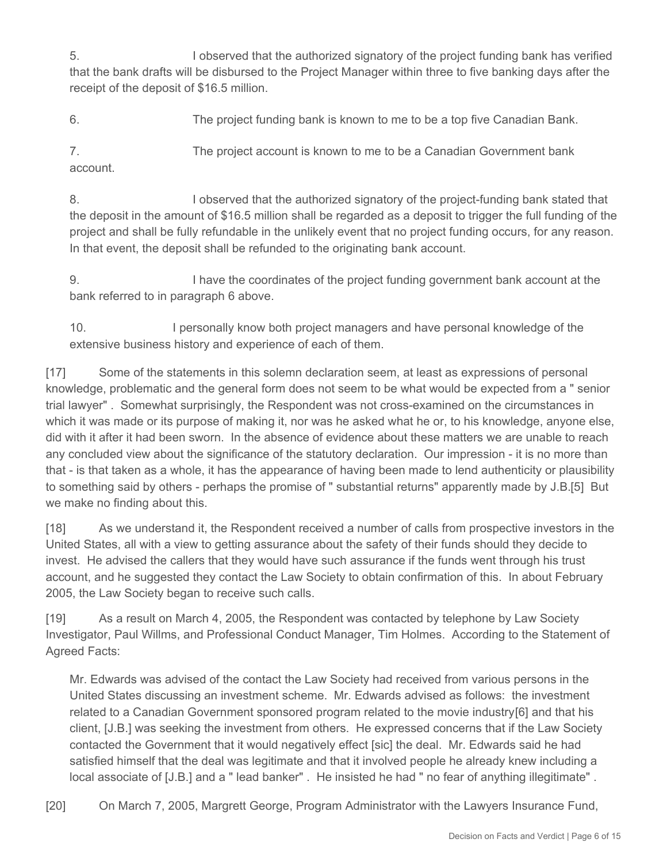5. I observed that the authorized signatory of the project funding bank has verified that the bank drafts will be disbursed to the Project Manager within three to five banking days after the receipt of the deposit of \$16.5 million.

6. The project funding bank is known to me to be a top five Canadian Bank.

7. The project account is known to me to be a Canadian Government bank account.

8. I observed that the authorized signatory of the project-funding bank stated that the deposit in the amount of \$16.5 million shall be regarded as a deposit to trigger the full funding of the project and shall be fully refundable in the unlikely event that no project funding occurs, for any reason. In that event, the deposit shall be refunded to the originating bank account.

9. I have the coordinates of the project funding government bank account at the bank referred to in paragraph 6 above.

10. I personally know both project managers and have personal knowledge of the extensive business history and experience of each of them.

[17] Some of the statements in this solemn declaration seem, at least as expressions of personal knowledge, problematic and the general form does not seem to be what would be expected from a " senior trial lawyer" . Somewhat surprisingly, the Respondent was not cross-examined on the circumstances in which it was made or its purpose of making it, nor was he asked what he or, to his knowledge, anyone else, did with it after it had been sworn. In the absence of evidence about these matters we are unable to reach any concluded view about the significance of the statutory declaration. Our impression - it is no more than that - is that taken as a whole, it has the appearance of having been made to lend authenticity or plausibility to something said by others - perhaps the promise of " substantial returns" apparently made by J.B.[5] But we make no finding about this.

[18] As we understand it, the Respondent received a number of calls from prospective investors in the United States, all with a view to getting assurance about the safety of their funds should they decide to invest. He advised the callers that they would have such assurance if the funds went through his trust account, and he suggested they contact the Law Society to obtain confirmation of this. In about February 2005, the Law Society began to receive such calls.

[19] As a result on March 4, 2005, the Respondent was contacted by telephone by Law Society Investigator, Paul Willms, and Professional Conduct Manager, Tim Holmes. According to the Statement of Agreed Facts:

Mr. Edwards was advised of the contact the Law Society had received from various persons in the United States discussing an investment scheme. Mr. Edwards advised as follows: the investment related to a Canadian Government sponsored program related to the movie industry[6] and that his client, [J.B.] was seeking the investment from others. He expressed concerns that if the Law Society contacted the Government that it would negatively effect [sic] the deal. Mr. Edwards said he had satisfied himself that the deal was legitimate and that it involved people he already knew including a local associate of [J.B.] and a " lead banker". He insisted he had " no fear of anything illegitimate".

[20] On March 7, 2005, Margrett George, Program Administrator with the Lawyers Insurance Fund,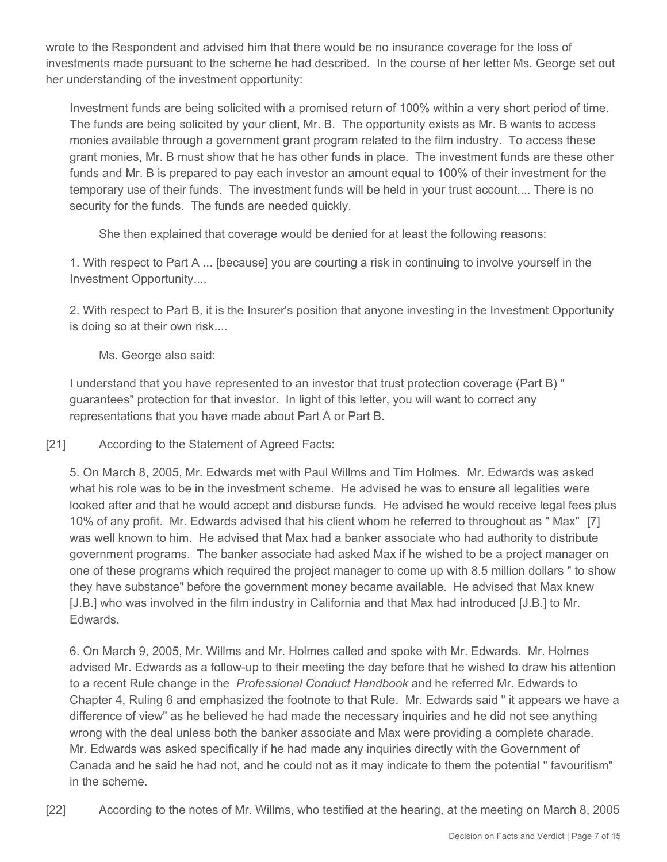wrote to the Respondent and advised him that there would be no insurance coverage for the loss of investments made pursuant to the scheme he had described. In the course of her letter Ms. George set out her understanding of the investment opportunity:

Investment funds are being solicited with a promised return of 100% within a very short period of time. The funds are being solicited by your client, Mr. B. The opportunity exists as Mr. B wants to access monies available through a government grant program related to the film industry. To access these grant monies, Mr. B must show that he has other funds in place. The investment funds are these other funds and Mr. B is prepared to pay each investor an amount equal to 100% of their investment for the temporary use of their funds. The investment funds will be held in your trust account.... There is no security for the funds. The funds are needed quickly.

She then explained that coverage would be denied for at least the following reasons:

1. With respect to Part A ... [because] you are courting a risk in continuing to involve yourself in the Investment Opportunity....

2. With respect to Part B, it is the Insurer's position that anyone investing in the Investment Opportunity is doing so at their own risk....

Ms. George also said:

I understand that you have represented to an investor that trust protection coverage (Part B) " guarantees" protection for that investor. In light of this letter, you will want to correct any representations that you have made about Part A or Part B.

[21] According to the Statement of Agreed Facts:

5. On March 8, 2005, Mr. Edwards met with Paul Willms and Tim Holmes. Mr. Edwards was asked what his role was to be in the investment scheme. He advised he was to ensure all legalities were looked after and that he would accept and disburse funds. He advised he would receive legal fees plus 10% of any profit. Mr. Edwards advised that his client whom he referred to throughout as " Max" [7] was well known to him. He advised that Max had a banker associate who had authority to distribute government programs. The banker associate had asked Max if he wished to be a project manager on one of these programs which required the project manager to come up with 8.5 million dollars " to show they have substance" before the government money became available. He advised that Max knew [J.B.] who was involved in the film industry in California and that Max had introduced [J.B.] to Mr. Edwards.

6. On March 9, 2005, Mr. Willms and Mr. Holmes called and spoke with Mr. Edwards. Mr. Holmes advised Mr. Edwards as a follow-up to their meeting the day before that he wished to draw his attention to a recent Rule change in the *Professional Conduct Handbook* and he referred Mr. Edwards to Chapter 4, Ruling 6 and emphasized the footnote to that Rule. Mr. Edwards said " it appears we have a difference of view" as he believed he had made the necessary inquiries and he did not see anything wrong with the deal unless both the banker associate and Max were providing a complete charade. Mr. Edwards was asked specifically if he had made any inquiries directly with the Government of Canada and he said he had not, and he could not as it may indicate to them the potential " favouritism" in the scheme.

[22] According to the notes of Mr. Willms, who testified at the hearing, at the meeting on March 8, 2005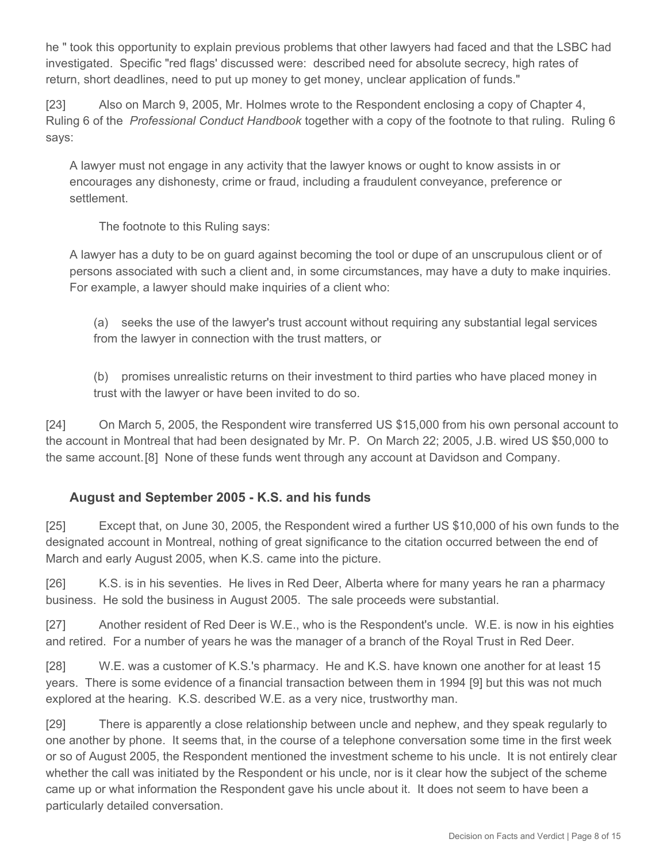he " took this opportunity to explain previous problems that other lawyers had faced and that the LSBC had investigated. Specific "red flags' discussed were: described need for absolute secrecy, high rates of return, short deadlines, need to put up money to get money, unclear application of funds."

[23] Also on March 9, 2005, Mr. Holmes wrote to the Respondent enclosing a copy of Chapter 4, Ruling 6 of the *Professional Conduct Handbook* together with a copy of the footnote to that ruling. Ruling 6 says:

A lawyer must not engage in any activity that the lawyer knows or ought to know assists in or encourages any dishonesty, crime or fraud, including a fraudulent conveyance, preference or settlement.

The footnote to this Ruling says:

A lawyer has a duty to be on guard against becoming the tool or dupe of an unscrupulous client or of persons associated with such a client and, in some circumstances, may have a duty to make inquiries. For example, a lawyer should make inquiries of a client who:

(a) seeks the use of the lawyer's trust account without requiring any substantial legal services from the lawyer in connection with the trust matters, or

(b) promises unrealistic returns on their investment to third parties who have placed money in trust with the lawyer or have been invited to do so.

[24] On March 5, 2005, the Respondent wire transferred US \$15,000 from his own personal account to the account in Montreal that had been designated by Mr. P. On March 22; 2005, J.B. wired US \$50,000 to the same account.[8] None of these funds went through any account at Davidson and Company.

## **August and September 2005 - K.S. and his funds**

[25] Except that, on June 30, 2005, the Respondent wired a further US \$10,000 of his own funds to the designated account in Montreal, nothing of great significance to the citation occurred between the end of March and early August 2005, when K.S. came into the picture.

[26] K.S. is in his seventies. He lives in Red Deer, Alberta where for many years he ran a pharmacy business. He sold the business in August 2005. The sale proceeds were substantial.

[27] Another resident of Red Deer is W.E., who is the Respondent's uncle. W.E. is now in his eighties and retired. For a number of years he was the manager of a branch of the Royal Trust in Red Deer.

[28] W.E. was a customer of K.S.'s pharmacy. He and K.S. have known one another for at least 15 years. There is some evidence of a financial transaction between them in 1994 [9] but this was not much explored at the hearing. K.S. described W.E. as a very nice, trustworthy man.

[29] There is apparently a close relationship between uncle and nephew, and they speak regularly to one another by phone. It seems that, in the course of a telephone conversation some time in the first week or so of August 2005, the Respondent mentioned the investment scheme to his uncle. It is not entirely clear whether the call was initiated by the Respondent or his uncle, nor is it clear how the subject of the scheme came up or what information the Respondent gave his uncle about it. It does not seem to have been a particularly detailed conversation.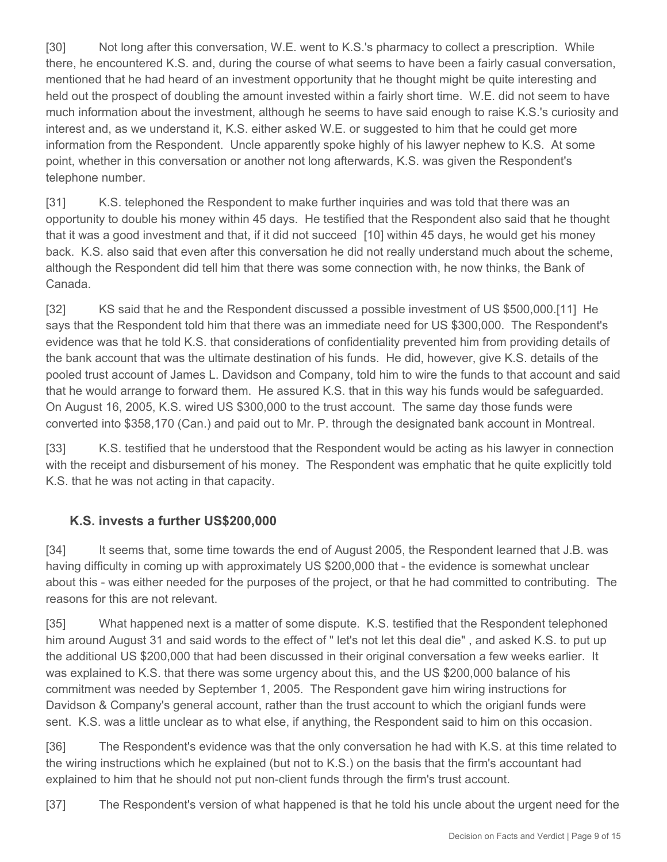[30] Not long after this conversation, W.E. went to K.S.'s pharmacy to collect a prescription. While there, he encountered K.S. and, during the course of what seems to have been a fairly casual conversation, mentioned that he had heard of an investment opportunity that he thought might be quite interesting and held out the prospect of doubling the amount invested within a fairly short time. W.E. did not seem to have much information about the investment, although he seems to have said enough to raise K.S.'s curiosity and interest and, as we understand it, K.S. either asked W.E. or suggested to him that he could get more information from the Respondent. Uncle apparently spoke highly of his lawyer nephew to K.S. At some point, whether in this conversation or another not long afterwards, K.S. was given the Respondent's telephone number.

[31] K.S. telephoned the Respondent to make further inquiries and was told that there was an opportunity to double his money within 45 days. He testified that the Respondent also said that he thought that it was a good investment and that, if it did not succeed [10] within 45 days, he would get his money back. K.S. also said that even after this conversation he did not really understand much about the scheme, although the Respondent did tell him that there was some connection with, he now thinks, the Bank of Canada.

[32] KS said that he and the Respondent discussed a possible investment of US \$500,000.[11] He says that the Respondent told him that there was an immediate need for US \$300,000. The Respondent's evidence was that he told K.S. that considerations of confidentiality prevented him from providing details of the bank account that was the ultimate destination of his funds. He did, however, give K.S. details of the pooled trust account of James L. Davidson and Company, told him to wire the funds to that account and said that he would arrange to forward them. He assured K.S. that in this way his funds would be safeguarded. On August 16, 2005, K.S. wired US \$300,000 to the trust account. The same day those funds were converted into \$358,170 (Can.) and paid out to Mr. P. through the designated bank account in Montreal.

[33] K.S. testified that he understood that the Respondent would be acting as his lawyer in connection with the receipt and disbursement of his money. The Respondent was emphatic that he quite explicitly told K.S. that he was not acting in that capacity.

## **K.S. invests a further US\$200,000**

[34] It seems that, some time towards the end of August 2005, the Respondent learned that J.B. was having difficulty in coming up with approximately US \$200,000 that - the evidence is somewhat unclear about this - was either needed for the purposes of the project, or that he had committed to contributing. The reasons for this are not relevant.

[35] What happened next is a matter of some dispute. K.S. testified that the Respondent telephoned him around August 31 and said words to the effect of " let's not let this deal die" , and asked K.S. to put up the additional US \$200,000 that had been discussed in their original conversation a few weeks earlier. It was explained to K.S. that there was some urgency about this, and the US \$200,000 balance of his commitment was needed by September 1, 2005. The Respondent gave him wiring instructions for Davidson & Company's general account, rather than the trust account to which the origianl funds were sent. K.S. was a little unclear as to what else, if anything, the Respondent said to him on this occasion.

[36] The Respondent's evidence was that the only conversation he had with K.S. at this time related to the wiring instructions which he explained (but not to K.S.) on the basis that the firm's accountant had explained to him that he should not put non-client funds through the firm's trust account.

[37] The Respondent's version of what happened is that he told his uncle about the urgent need for the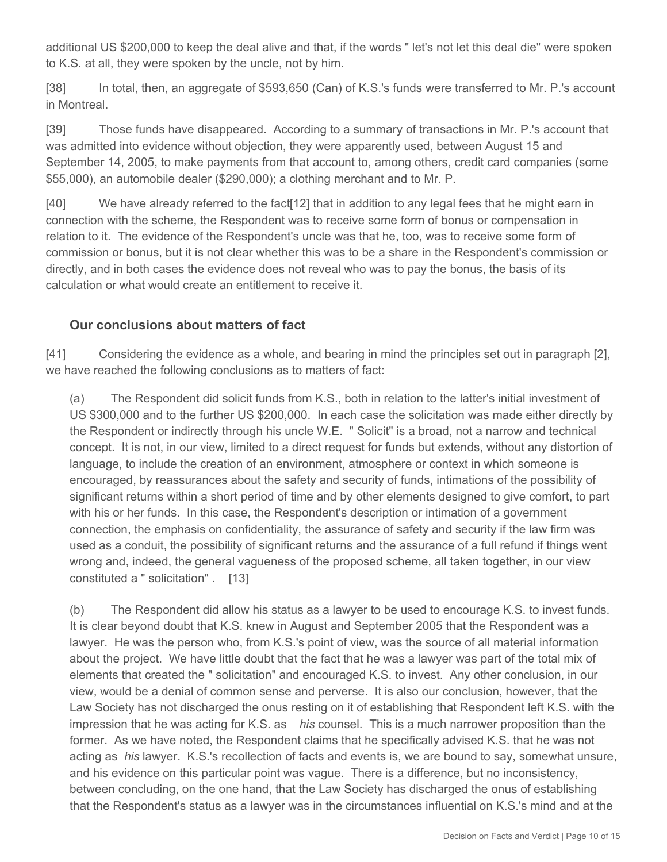additional US \$200,000 to keep the deal alive and that, if the words " let's not let this deal die" were spoken to K.S. at all, they were spoken by the uncle, not by him.

[38] In total, then, an aggregate of \$593,650 (Can) of K.S.'s funds were transferred to Mr. P.'s account in Montreal.

[39] Those funds have disappeared. According to a summary of transactions in Mr. P.'s account that was admitted into evidence without objection, they were apparently used, between August 15 and September 14, 2005, to make payments from that account to, among others, credit card companies (some \$55,000), an automobile dealer (\$290,000); a clothing merchant and to Mr. P.

[40] We have already referred to the fact[12] that in addition to any legal fees that he might earn in connection with the scheme, the Respondent was to receive some form of bonus or compensation in relation to it. The evidence of the Respondent's uncle was that he, too, was to receive some form of commission or bonus, but it is not clear whether this was to be a share in the Respondent's commission or directly, and in both cases the evidence does not reveal who was to pay the bonus, the basis of its calculation or what would create an entitlement to receive it.

### **Our conclusions about matters of fact**

[41] Considering the evidence as a whole, and bearing in mind the principles set out in paragraph [2], we have reached the following conclusions as to matters of fact:

(a) The Respondent did solicit funds from K.S., both in relation to the latter's initial investment of US \$300,000 and to the further US \$200,000. In each case the solicitation was made either directly by the Respondent or indirectly through his uncle W.E. " Solicit" is a broad, not a narrow and technical concept. It is not, in our view, limited to a direct request for funds but extends, without any distortion of language, to include the creation of an environment, atmosphere or context in which someone is encouraged, by reassurances about the safety and security of funds, intimations of the possibility of significant returns within a short period of time and by other elements designed to give comfort, to part with his or her funds. In this case, the Respondent's description or intimation of a government connection, the emphasis on confidentiality, the assurance of safety and security if the law firm was used as a conduit, the possibility of significant returns and the assurance of a full refund if things went wrong and, indeed, the general vagueness of the proposed scheme, all taken together, in our view constituted a " solicitation" . [13]

(b) The Respondent did allow his status as a lawyer to be used to encourage K.S. to invest funds. It is clear beyond doubt that K.S. knew in August and September 2005 that the Respondent was a lawyer. He was the person who, from K.S.'s point of view, was the source of all material information about the project. We have little doubt that the fact that he was a lawyer was part of the total mix of elements that created the " solicitation" and encouraged K.S. to invest. Any other conclusion, in our view, would be a denial of common sense and perverse. It is also our conclusion, however, that the Law Society has not discharged the onus resting on it of establishing that Respondent left K.S. with the impression that he was acting for K.S. as *his* counsel. This is a much narrower proposition than the former. As we have noted, the Respondent claims that he specifically advised K.S. that he was not acting as *his* lawyer. K.S.'s recollection of facts and events is, we are bound to say, somewhat unsure, and his evidence on this particular point was vague. There is a difference, but no inconsistency, between concluding, on the one hand, that the Law Society has discharged the onus of establishing that the Respondent's status as a lawyer was in the circumstances influential on K.S.'s mind and at the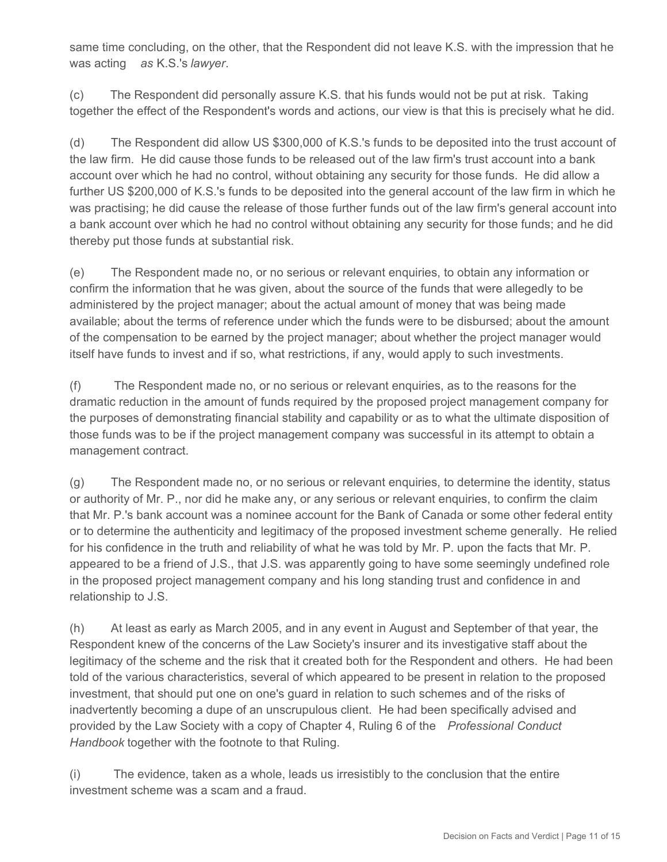same time concluding, on the other, that the Respondent did not leave K.S. with the impression that he was acting *as* K.S.'s *lawyer*.

(c) The Respondent did personally assure K.S. that his funds would not be put at risk. Taking together the effect of the Respondent's words and actions, our view is that this is precisely what he did.

(d) The Respondent did allow US \$300,000 of K.S.'s funds to be deposited into the trust account of the law firm. He did cause those funds to be released out of the law firm's trust account into a bank account over which he had no control, without obtaining any security for those funds. He did allow a further US \$200,000 of K.S.'s funds to be deposited into the general account of the law firm in which he was practising; he did cause the release of those further funds out of the law firm's general account into a bank account over which he had no control without obtaining any security for those funds; and he did thereby put those funds at substantial risk.

(e) The Respondent made no, or no serious or relevant enquiries, to obtain any information or confirm the information that he was given, about the source of the funds that were allegedly to be administered by the project manager; about the actual amount of money that was being made available; about the terms of reference under which the funds were to be disbursed; about the amount of the compensation to be earned by the project manager; about whether the project manager would itself have funds to invest and if so, what restrictions, if any, would apply to such investments.

(f) The Respondent made no, or no serious or relevant enquiries, as to the reasons for the dramatic reduction in the amount of funds required by the proposed project management company for the purposes of demonstrating financial stability and capability or as to what the ultimate disposition of those funds was to be if the project management company was successful in its attempt to obtain a management contract.

(g) The Respondent made no, or no serious or relevant enquiries, to determine the identity, status or authority of Mr. P., nor did he make any, or any serious or relevant enquiries, to confirm the claim that Mr. P.'s bank account was a nominee account for the Bank of Canada or some other federal entity or to determine the authenticity and legitimacy of the proposed investment scheme generally. He relied for his confidence in the truth and reliability of what he was told by Mr. P. upon the facts that Mr. P. appeared to be a friend of J.S., that J.S. was apparently going to have some seemingly undefined role in the proposed project management company and his long standing trust and confidence in and relationship to J.S.

(h) At least as early as March 2005, and in any event in August and September of that year, the Respondent knew of the concerns of the Law Society's insurer and its investigative staff about the legitimacy of the scheme and the risk that it created both for the Respondent and others. He had been told of the various characteristics, several of which appeared to be present in relation to the proposed investment, that should put one on one's guard in relation to such schemes and of the risks of inadvertently becoming a dupe of an unscrupulous client. He had been specifically advised and provided by the Law Society with a copy of Chapter 4, Ruling 6 of the *Professional Conduct Handbook* together with the footnote to that Ruling.

(i) The evidence, taken as a whole, leads us irresistibly to the conclusion that the entire investment scheme was a scam and a fraud.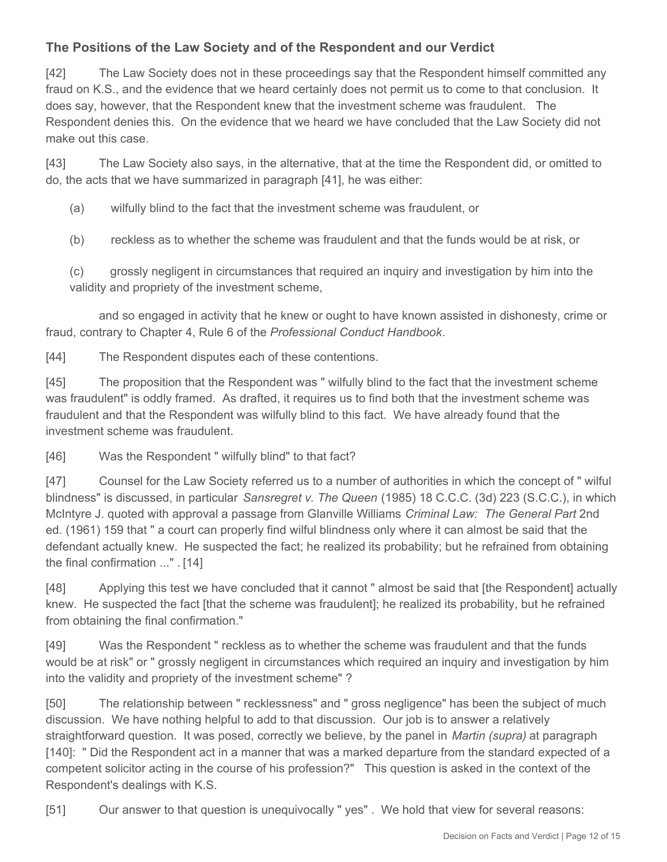# **The Positions of the Law Society and of the Respondent and our Verdict**

[42] The Law Society does not in these proceedings say that the Respondent himself committed any fraud on K.S., and the evidence that we heard certainly does not permit us to come to that conclusion. It does say, however, that the Respondent knew that the investment scheme was fraudulent. The Respondent denies this. On the evidence that we heard we have concluded that the Law Society did not make out this case.

[43] The Law Society also says, in the alternative, that at the time the Respondent did, or omitted to do, the acts that we have summarized in paragraph [41], he was either:

(a) wilfully blind to the fact that the investment scheme was fraudulent, or

(b) reckless as to whether the scheme was fraudulent and that the funds would be at risk, or

(c) grossly negligent in circumstances that required an inquiry and investigation by him into the validity and propriety of the investment scheme,

 and so engaged in activity that he knew or ought to have known assisted in dishonesty, crime or fraud, contrary to Chapter 4, Rule 6 of the *Professional Conduct Handbook*.

[44] The Respondent disputes each of these contentions.

[45] The proposition that the Respondent was " wilfully blind to the fact that the investment scheme was fraudulent" is oddly framed. As drafted, it requires us to find both that the investment scheme was fraudulent and that the Respondent was wilfully blind to this fact. We have already found that the investment scheme was fraudulent.

[46] Was the Respondent " wilfully blind" to that fact?

[47] Counsel for the Law Society referred us to a number of authorities in which the concept of " wilful blindness" is discussed, in particular *Sansregret v. The Queen* (1985) 18 C.C.C. (3d) 223 (S.C.C.), in which McIntyre J. quoted with approval a passage from Glanville Williams *Criminal Law: The General Part* 2nd ed. (1961) 159 that " a court can properly find wilful blindness only where it can almost be said that the defendant actually knew. He suspected the fact; he realized its probability; but he refrained from obtaining the final confirmation ..." . [14]

[48] Applying this test we have concluded that it cannot " almost be said that [the Respondent] actually knew. He suspected the fact [that the scheme was fraudulent]; he realized its probability, but he refrained from obtaining the final confirmation."

[49] Was the Respondent " reckless as to whether the scheme was fraudulent and that the funds would be at risk" or " grossly negligent in circumstances which required an inquiry and investigation by him into the validity and propriety of the investment scheme" ?

[50] The relationship between " recklessness" and " gross negligence" has been the subject of much discussion. We have nothing helpful to add to that discussion. Our job is to answer a relatively straightforward question. It was posed, correctly we believe, by the panel in *Martin (supra)* at paragraph [140]: " Did the Respondent act in a manner that was a marked departure from the standard expected of a competent solicitor acting in the course of his profession?" This question is asked in the context of the Respondent's dealings with K.S.

[51] Our answer to that question is unequivocally " yes" . We hold that view for several reasons: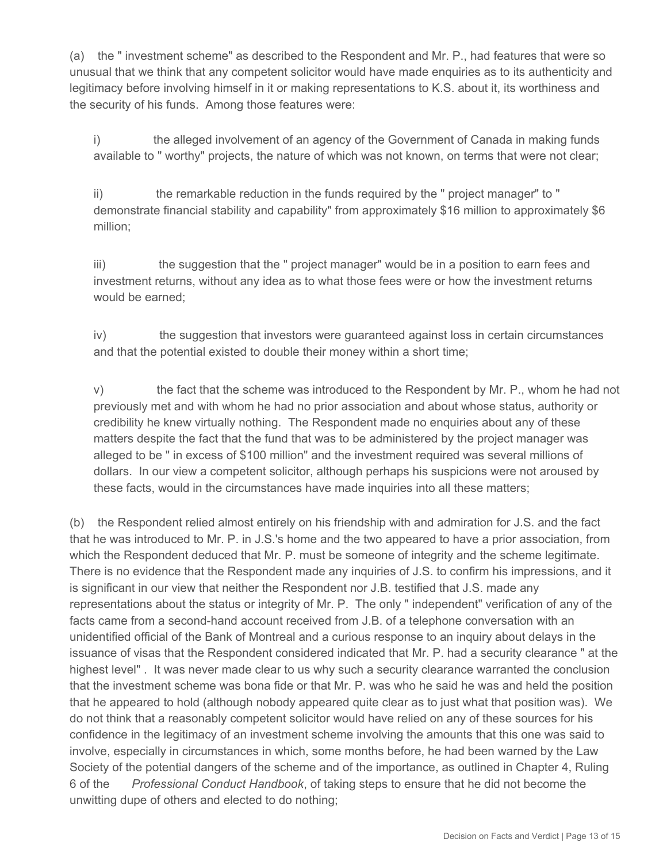(a) the " investment scheme" as described to the Respondent and Mr. P., had features that were so unusual that we think that any competent solicitor would have made enquiries as to its authenticity and legitimacy before involving himself in it or making representations to K.S. about it, its worthiness and the security of his funds. Among those features were:

i) the alleged involvement of an agency of the Government of Canada in making funds available to " worthy" projects, the nature of which was not known, on terms that were not clear;

ii) the remarkable reduction in the funds required by the " project manager" to " demonstrate financial stability and capability" from approximately \$16 million to approximately \$6 million;

iii) the suggestion that the " project manager" would be in a position to earn fees and investment returns, without any idea as to what those fees were or how the investment returns would be earned;

iv) the suggestion that investors were guaranteed against loss in certain circumstances and that the potential existed to double their money within a short time;

v) the fact that the scheme was introduced to the Respondent by Mr. P., whom he had not previously met and with whom he had no prior association and about whose status, authority or credibility he knew virtually nothing. The Respondent made no enquiries about any of these matters despite the fact that the fund that was to be administered by the project manager was alleged to be " in excess of \$100 million" and the investment required was several millions of dollars. In our view a competent solicitor, although perhaps his suspicions were not aroused by these facts, would in the circumstances have made inquiries into all these matters;

(b) the Respondent relied almost entirely on his friendship with and admiration for J.S. and the fact that he was introduced to Mr. P. in J.S.'s home and the two appeared to have a prior association, from which the Respondent deduced that Mr. P. must be someone of integrity and the scheme legitimate. There is no evidence that the Respondent made any inquiries of J.S. to confirm his impressions, and it is significant in our view that neither the Respondent nor J.B. testified that J.S. made any representations about the status or integrity of Mr. P. The only " independent" verification of any of the facts came from a second-hand account received from J.B. of a telephone conversation with an unidentified official of the Bank of Montreal and a curious response to an inquiry about delays in the issuance of visas that the Respondent considered indicated that Mr. P. had a security clearance " at the highest level" . It was never made clear to us why such a security clearance warranted the conclusion that the investment scheme was bona fide or that Mr. P. was who he said he was and held the position that he appeared to hold (although nobody appeared quite clear as to just what that position was). We do not think that a reasonably competent solicitor would have relied on any of these sources for his confidence in the legitimacy of an investment scheme involving the amounts that this one was said to involve, especially in circumstances in which, some months before, he had been warned by the Law Society of the potential dangers of the scheme and of the importance, as outlined in Chapter 4, Ruling 6 of the *Professional Conduct Handbook*, of taking steps to ensure that he did not become the unwitting dupe of others and elected to do nothing;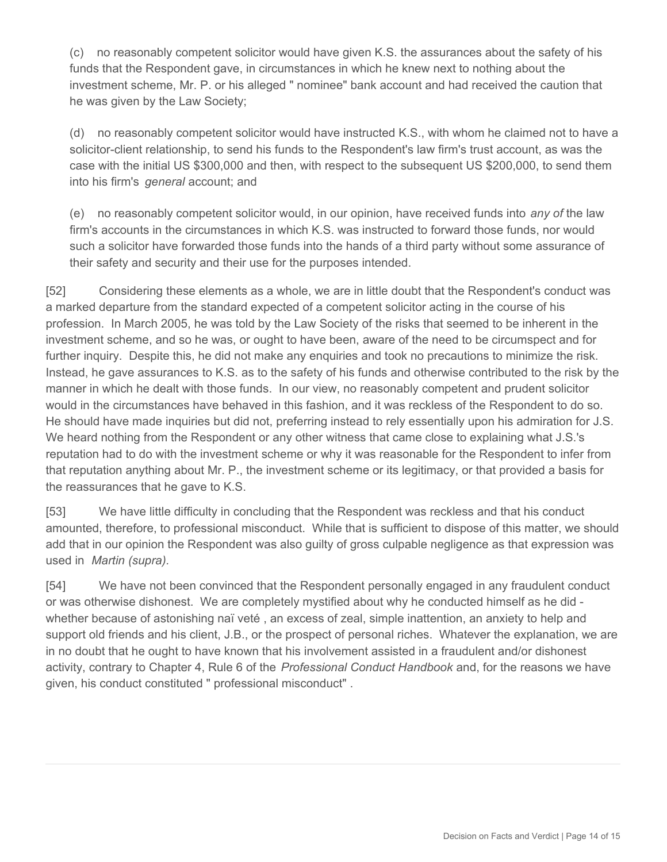(c) no reasonably competent solicitor would have given K.S. the assurances about the safety of his funds that the Respondent gave, in circumstances in which he knew next to nothing about the investment scheme, Mr. P. or his alleged " nominee" bank account and had received the caution that he was given by the Law Society;

(d) no reasonably competent solicitor would have instructed K.S., with whom he claimed not to have a solicitor-client relationship, to send his funds to the Respondent's law firm's trust account, as was the case with the initial US \$300,000 and then, with respect to the subsequent US \$200,000, to send them into his firm's *general* account; and

(e) no reasonably competent solicitor would, in our opinion, have received funds into *any of* the law firm's accounts in the circumstances in which K.S. was instructed to forward those funds, nor would such a solicitor have forwarded those funds into the hands of a third party without some assurance of their safety and security and their use for the purposes intended.

[52] Considering these elements as a whole, we are in little doubt that the Respondent's conduct was a marked departure from the standard expected of a competent solicitor acting in the course of his profession. In March 2005, he was told by the Law Society of the risks that seemed to be inherent in the investment scheme, and so he was, or ought to have been, aware of the need to be circumspect and for further inquiry. Despite this, he did not make any enquiries and took no precautions to minimize the risk. Instead, he gave assurances to K.S. as to the safety of his funds and otherwise contributed to the risk by the manner in which he dealt with those funds. In our view, no reasonably competent and prudent solicitor would in the circumstances have behaved in this fashion, and it was reckless of the Respondent to do so. He should have made inquiries but did not, preferring instead to rely essentially upon his admiration for J.S. We heard nothing from the Respondent or any other witness that came close to explaining what J.S.'s reputation had to do with the investment scheme or why it was reasonable for the Respondent to infer from that reputation anything about Mr. P., the investment scheme or its legitimacy, or that provided a basis for the reassurances that he gave to K.S.

[53] We have little difficulty in concluding that the Respondent was reckless and that his conduct amounted, therefore, to professional misconduct. While that is sufficient to dispose of this matter, we should add that in our opinion the Respondent was also guilty of gross culpable negligence as that expression was used in *Martin (supra).*

[54] We have not been convinced that the Respondent personally engaged in any fraudulent conduct or was otherwise dishonest. We are completely mystified about why he conducted himself as he did whether because of astonishing naï veté , an excess of zeal, simple inattention, an anxiety to help and support old friends and his client, J.B., or the prospect of personal riches. Whatever the explanation, we are in no doubt that he ought to have known that his involvement assisted in a fraudulent and/or dishonest activity, contrary to Chapter 4, Rule 6 of the *Professional Conduct Handbook* and, for the reasons we have given, his conduct constituted " professional misconduct" .